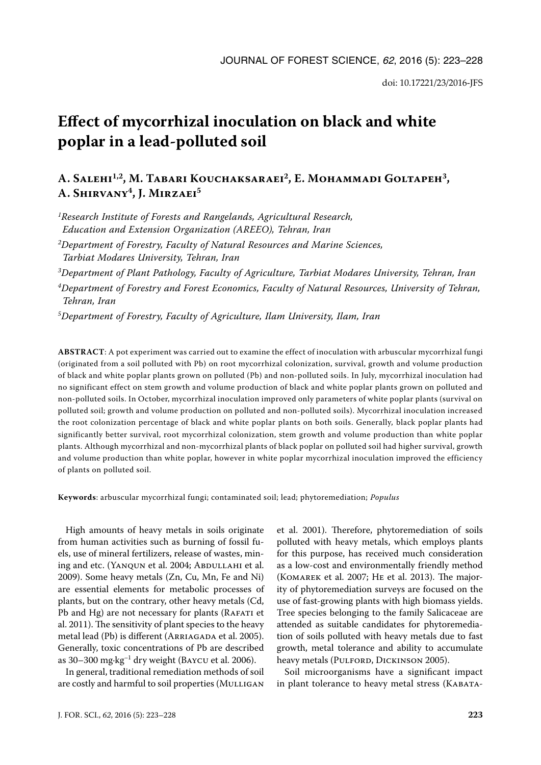# **Effect of mycorrhizal inoculation on black and white poplar in a lead-polluted soil**

# **A. Salehi1,2, M. Tabari Kouchaksaraei2, E. Mohammadi Goltapeh3, A. Shirvany4, J. Mirzaei5**

*1Research Institute of Forests and Rangelands, Agricultural Research, Education and Extension Organization (AREEO), Tehran, Iran*

*2Department of Forestry, Faculty of Natural Resources and Marine Sciences, Tarbiat Modares University, Tehran, Iran*

*3Department of Plant Pathology, Faculty of Agriculture, Tarbiat Modares University, Tehran, Iran*

*4Department of Forestry and Forest Economics, Faculty of Natural Resources, University of Tehran, Tehran, Iran*

*5Department of Forestry, Faculty of Agriculture, Ilam University, Ilam, Iran*

**ABSTRACT**: A pot experiment was carried out to examine the effect of inoculation with arbuscular mycorrhizal fungi (originated from a soil polluted with Pb) on root mycorrhizal colonization, survival, growth and volume production of black and white poplar plants grown on polluted (Pb) and non-polluted soils. In July, mycorrhizal inoculation had no significant effect on stem growth and volume production of black and white poplar plants grown on polluted and non-polluted soils. In October, mycorrhizal inoculation improved only parameters of white poplar plants (survival on polluted soil; growth and volume production on polluted and non-polluted soils). Mycorrhizal inoculation increased the root colonization percentage of black and white poplar plants on both soils. Generally, black poplar plants had significantly better survival, root mycorrhizal colonization, stem growth and volume production than white poplar plants. Although mycorrhizal and non-mycorrhizal plants of black poplar on polluted soil had higher survival, growth and volume production than white poplar, however in white poplar mycorrhizal inoculation improved the efficiency of plants on polluted soil.

**Keywords**: arbuscular mycorrhizal fungi; contaminated soil; lead; phytoremediation; *Populus*

High amounts of heavy metals in soils originate from human activities such as burning of fossil fuels, use of mineral fertilizers, release of wastes, mining and etc. (YANQUN et al. 2004; ABDULLAHI et al. 2009). Some heavy metals (Zn, Cu, Mn, Fe and Ni) are essential elements for metabolic processes of plants, but on the contrary, other heavy metals (Cd, Pb and Hg) are not necessary for plants (RAFATI et al. 2011). The sensitivity of plant species to the heavy metal lead (Pb) is different (ARRIAGADA et al. 2005). Generally, toxic concentrations of Pb are described as  $30-300$  mg·kg<sup>-1</sup> dry weight (Baycu et al. 2006).

In general, traditional remediation methods of soil are costly and harmful to soil properties (MULLIGAN

polluted with heavy metals, which employs plants for this purpose, has received much consideration as a low-cost and environmentally friendly method (Komarek et al. 2007; He et al. 2013). The majority of phytoremediation surveys are focused on the use of fast-growing plants with high biomass yields. Tree species belonging to the family Salicaceae are attended as suitable candidates for phytoremediation of soils polluted with heavy metals due to fast growth, metal tolerance and ability to accumulate heavy metals (PULFORD, DICKINSON 2005).

et al. 2001). Therefore, phytoremediation of soils

Soil microorganisms have a significant impact in plant tolerance to heavy metal stress (KABATA-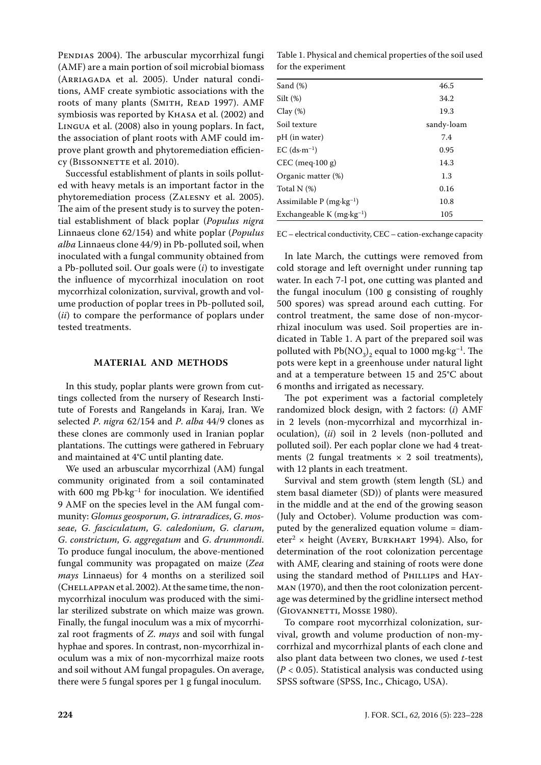PENDIAS 2004). The arbuscular mycorrhizal fungi (AMF) are a main portion of soil microbial biomass (ARRIAGADA et al. 2005). Under natural conditions, AMF create symbiotic associations with the roots of many plants (SMITH, READ 1997). AMF symbiosis was reported by Khasa et al. (2002) and Lingua et al. (2008) also in young poplars. In fact, the association of plant roots with AMF could improve plant growth and phytoremediation efficiency (BISSONNETTE et al. 2010).

Successful establishment of plants in soils polluted with heavy metals is an important factor in the phytoremediation process (Zalesny et al. 2005). The aim of the present study is to survey the potential establishment of black poplar (*Populus nigra* Linnaeus clone 62/154) and white poplar (*Populus alba* Linnaeus clone 44/9) in Pb-polluted soil, when inoculated with a fungal community obtained from a Pb-polluted soil. Our goals were (*i*) to investigate the influence of mycorrhizal inoculation on root mycorrhizal colonization, survival, growth and volume production of poplar trees in Pb-polluted soil, (*ii*) to compare the performance of poplars under tested treatments.

### **MATERIAL AND METHODS**

In this study, poplar plants were grown from cuttings collected from the nursery of Research Institute of Forests and Rangelands in Karaj, Iran. We selected *P*. *nigra* 62/154 and *P*. *alba* 44/9 clones as these clones are commonly used in Iranian poplar plantations. The cuttings were gathered in February and maintained at 4°C until planting date.

We used an arbuscular mycorrhizal (AM) fungal community originated from a soil contaminated with 600 mg Pb·kg<sup>-1</sup> for inoculation. We identified 9 AMF on the species level in the AM fungal community: *Glomus geosporum*, *G*. *intraradices*, *G*. *mosseae*, *G*. *fasciculatum*, *G*. *caledonium*, *G*. *clarum*, *G*. *constrictum*, *G*. *aggregatum* and *G*. *drummondi*. To produce fungal inoculum, the above-mentioned fungal community was propagated on maize (*Zea mays* Linnaeus) for 4 months on a sterilized soil (CHELLAPPAN et al. 2002). At the same time, the nonmycorrhizal inoculum was produced with the similar sterilized substrate on which maize was grown. Finally, the fungal inoculum was a mix of mycorrhizal root fragments of *Z*. *mays* and soil with fungal hyphae and spores. In contrast, non-mycorrhizal inoculum was a mix of non-mycorrhizal maize roots and soil without AM fungal propagules. On average, there were 5 fungal spores per 1 g fungal inoculum.

Table 1. Physical and chemical properties of the soil used for the experiment

| Sand $(\%)$                                    | 46.5       |
|------------------------------------------------|------------|
| Silt(%)                                        | 34.2       |
| $Clay(\%)$                                     | 19.3       |
| Soil texture                                   | sandy-loam |
| pH (in water)                                  | 7.4        |
| $EC$ (ds $\cdot$ m <sup>-1</sup> )             | 0.95       |
| $CEC$ (meq $\cdot$ 100 g)                      | 14.3       |
| Organic matter (%)                             | 1.3        |
| Total $N$ $(\%)$                               | 0.16       |
| Assimilable $P$ (mg $\cdot$ kg <sup>-1</sup> ) | 10.8       |
| Exchangeable K $(mg \cdot kg^{-1})$            | 105        |
|                                                |            |

EC – electrical conductivity, CEC – cation-exchange capacity

In late March, the cuttings were removed from cold storage and left overnight under running tap water. In each 7-l pot, one cutting was planted and the fungal inoculum (100 g consisting of roughly 500 spores) was spread around each cutting. For control treatment, the same dose of non-mycorrhizal inoculum was used. Soil properties are indicated in Table 1. A part of the prepared soil was polluted with  $Pb(NO<sub>3</sub>)<sub>2</sub>$  equal to 1000 mg·kg<sup>-1</sup>. The pots were kept in a greenhouse under natural light and at a temperature between 15 and 25°C about 6 months and irrigated as necessary.

The pot experiment was a factorial completely randomized block design, with 2 factors: (*i*) AMF in 2 levels (non-mycorrhizal and mycorrhizal inoculation), (*ii*) soil in 2 levels (non-polluted and polluted soil). Per each poplar clone we had 4 treatments (2 fungal treatments  $\times$  2 soil treatments), with 12 plants in each treatment.

Survival and stem growth (stem length (SL) and stem basal diameter (SD)) of plants were measured in the middle and at the end of the growing season (July and October). Volume production was computed by the generalized equation volume = diameter2 *×* height (Avery, Burkhart 1994). Also, for determination of the root colonization percentage with AMF, clearing and staining of roots were done using the standard method of PHILLIPS and HAYman (1970), and then the root colonization percentage was determined by the gridline intersect method (GIOVANNETTI, MOSSE 1980).

To compare root mycorrhizal colonization, survival, growth and volume production of non-mycorrhizal and mycorrhizal plants of each clone and also plant data between two clones, we used *t*-test (*P* < 0.05). Statistical analysis was conducted using SPSS software (SPSS, Inc., Chicago, USA).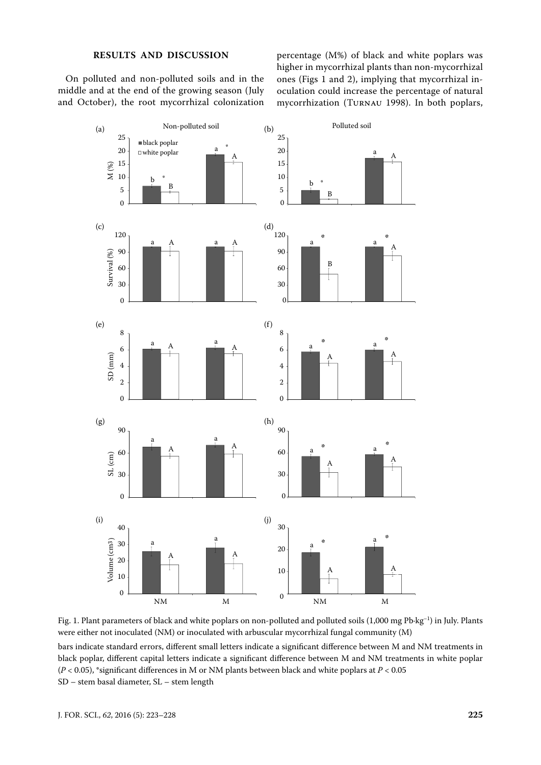# **RESULTS AND DISCUSSION**

On polluted and non-polluted soils and in the middle and at the end of the growing season (July and October), the root mycorrhizal colonization percentage (M%) of black and white poplars was higher in mycorrhizal plants than non-mycorrhizal ones (Figs 1 and 2), implying that mycorrhizal inoculation could increase the percentage of natural mycorrhization (Turnau 1998). In both poplars,





bars indicate standard errors, different small letters indicate a significant difference between M and NM treatments in black poplar, different capital letters indicate a significant difference between M and NM treatments in white poplar (*P* < 0.05), \*significant differences in M or NM plants between black and white poplars at *P* < 0.05 SD – stem basal diameter, SL – stem length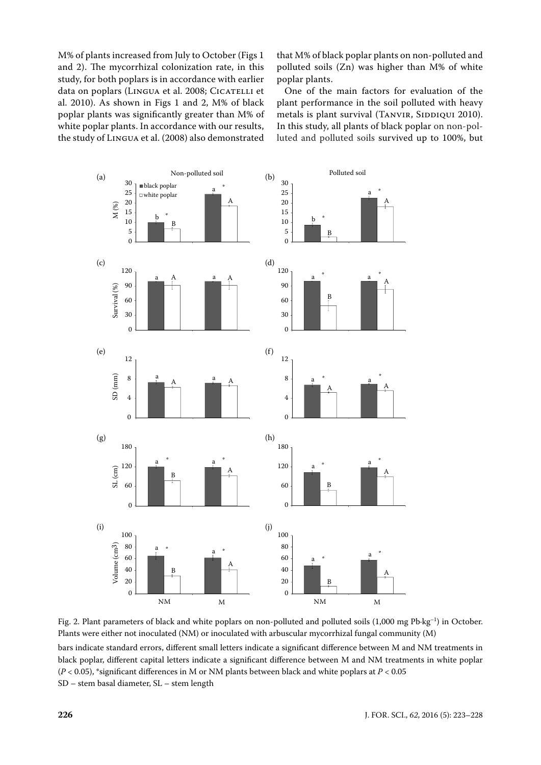M% of plants increased from July to October (Figs 1 and 2). The mycorrhizal colonization rate, in this study, for both poplars is in accordance with earlier data on poplars (LINGUA et al. 2008; CICATELLI et al. 2010). As shown in Figs 1 and 2, M% of black poplar plants was significantly greater than M% of white poplar plants. In accordance with our results, the study of Lingua et al. (2008) also demonstrated

that M% of black poplar plants on non-polluted and polluted soils (Zn) was higher than M% of white poplar plants.

One of the main factors for evaluation of the plant performance in the soil polluted with heavy metals is plant survival (TANVIR, SIDDIQUI 2010). In this study, all plants of black poplar on non-polluted and polluted soils survived up to 100%, but





bars indicate standard errors, different small letters indicate a significant difference between M and NM treatments in black poplar, different capital letters indicate a significant difference between M and NM treatments in white poplar (*P* < 0.05), \*significant differences in M or NM plants between black and white poplars at *P* < 0.05 SD – stem basal diameter, SL – stem length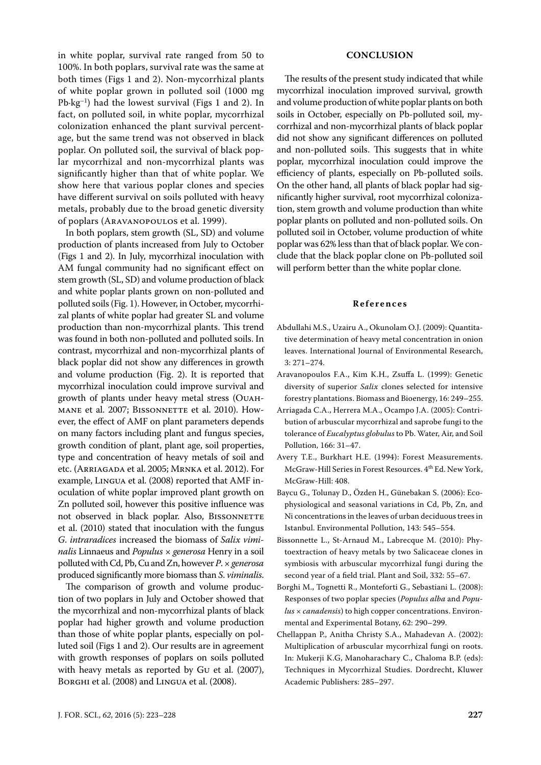in white poplar, survival rate ranged from 50 to 100%. In both poplars, survival rate was the same at both times (Figs 1 and 2). Non-mycorrhizal plants of white poplar grown in polluted soil (1000 mg  $Pb\cdot kg^{-1}$ ) had the lowest survival (Figs 1 and 2). In fact, on polluted soil, in white poplar, mycorrhizal colonization enhanced the plant survival percentage, but the same trend was not observed in black poplar. On polluted soil, the survival of black poplar mycorrhizal and non-mycorrhizal plants was significantly higher than that of white poplar. We show here that various poplar clones and species have different survival on soils polluted with heavy metals, probably due to the broad genetic diversity of poplars (Aravanopoulos et al. 1999).

In both poplars, stem growth (SL, SD) and volume production of plants increased from July to October (Figs 1 and 2). In July, mycorrhizal inoculation with AM fungal community had no significant effect on stem growth (SL, SD) and volume production of black and white poplar plants grown on non-polluted and polluted soils (Fig. 1). However, in October, mycorrhizal plants of white poplar had greater SL and volume production than non-mycorrhizal plants. This trend was found in both non-polluted and polluted soils. In contrast, mycorrhizal and non-mycorrhizal plants of black poplar did not show any differences in growth and volume production (Fig. 2). It is reported that mycorrhizal inoculation could improve survival and growth of plants under heavy metal stress (Ouahmane et al. 2007; BISSONNETTE et al. 2010). However, the effect of AMF on plant parameters depends on many factors including plant and fungus species, growth condition of plant, plant age, soil properties, type and concentration of heavy metals of soil and etc. (Arriagada et al. 2005; Mrnka et al. 2012). For example, Lingua et al. (2008) reported that AMF inoculation of white poplar improved plant growth on Zn polluted soil, however this positive influence was not observed in black poplar. Also, BISSONNETTE et al. (2010) stated that inoculation with the fungus *G*. *intraradices* increased the biomass of *Salix viminalis* Linnaeus and *Populus × generosa* Henry in a soil polluted with Cd, Pb, Cu and Zn, however *P*. *×generosa* produced significantly more biomass than *S*. *viminalis*.

The comparison of growth and volume production of two poplars in July and October showed that the mycorrhizal and non-mycorrhizal plants of black poplar had higher growth and volume production than those of white poplar plants, especially on polluted soil (Figs 1 and 2). Our results are in agreement with growth responses of poplars on soils polluted with heavy metals as reported by Gu et al. (2007), Borghi et al. (2008) and Lingua et al. (2008).

#### **CONCLUSION**

The results of the present study indicated that while mycorrhizal inoculation improved survival, growth and volume production of white poplar plants on both soils in October, especially on Pb-polluted soil, mycorrhizal and non-mycorrhizal plants of black poplar did not show any significant differences on polluted and non-polluted soils. This suggests that in white poplar, mycorrhizal inoculation could improve the efficiency of plants, especially on Pb-polluted soils. On the other hand, all plants of black poplar had significantly higher survival, root mycorrhizal colonization, stem growth and volume production than white poplar plants on polluted and non-polluted soils. On polluted soil in October, volume production of white poplar was 62% less than that of black poplar. We conclude that the black poplar clone on Pb-polluted soil will perform better than the white poplar clone.

## **References**

- Abdullahi M.S., Uzairu A., Okunolam O.J. (2009): Quantitative determination of heavy metal concentration in onion leaves. International Journal of Environmental Research, 3: 271–274.
- Aravanopoulos F.A., Kim K.H., Zsuffa L. (1999): Genetic diversity of superior *Salix* clones selected for intensive forestry plantations. Biomass and Bioenergy, 16: 249–255.
- Arriagada C.A., Herrera M.A., Ocampo J.A. (2005): Contribution of arbuscular mycorrhizal and saprobe fungi to the tolerance of *Eucalyptus globulus* to Pb. Water, Air, and Soil Pollution, 166: 31–47.
- Avery T.E., Burkhart H.E. (1994): Forest Measurements. McGraw-Hill Series in Forest Resources. 4th Ed. New York, McGraw-Hill: 408.
- Baycu G., Tolunay D., Özden H., Günebakan S. (2006): Ecophysiological and seasonal variations in Cd, Pb, Zn, and Ni concentrations in the leaves of urban deciduous trees in Istanbul. Environmental Pollution, 143: 545–554.
- Bissonnette L., St-Arnaud M., Labrecque M. (2010): Phytoextraction of heavy metals by two Salicaceae clones in symbiosis with arbuscular mycorrhizal fungi during the second year of a field trial. Plant and Soil, 332: 55–67.
- Borghi M., Tognetti R., Monteforti G., Sebastiani L. (2008): Responses of two poplar species (*Populus alba* and *Populus × canadensis*) to high copper concentrations. Environmental and Experimental Botany, 62: 290–299.
- Chellappan P., Anitha Christy S.A., Mahadevan A. (2002): Multiplication of arbuscular mycorrhizal fungi on roots. In: Mukerji K.G, Manoharachary C., Chaloma B.P. (eds): Techniques in Mycorrhizal Studies. Dordrecht, Kluwer Academic Publishers: 285–297.